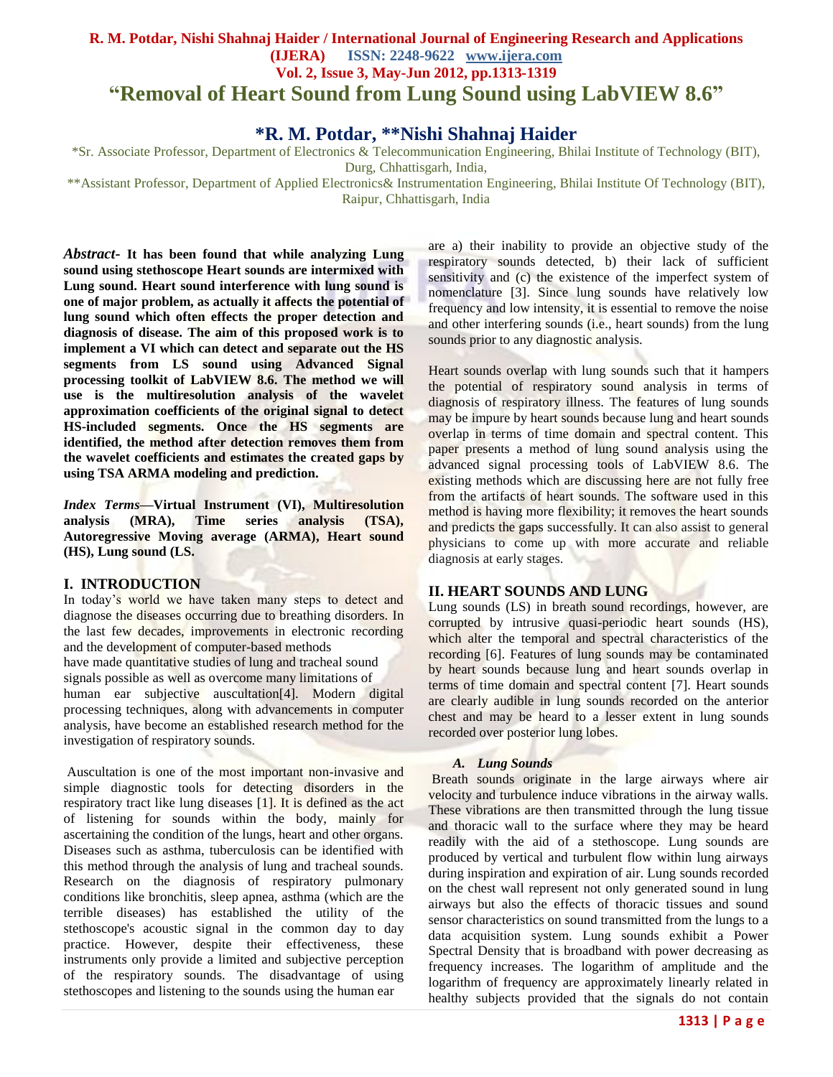## **R. M. Potdar, Nishi Shahnaj Haider / International Journal of Engineering Research and Applications (IJERA) ISSN: 2248-9622 www.ijera.com Vol. 2, Issue 3, May-Jun 2012, pp.1313-1319 "Removal of Heart Sound from Lung Sound using LabVIEW 8.6"**

# **\*R. M. Potdar, \*\*Nishi Shahnaj Haider**

\*Sr. Associate Professor, Department of Electronics & Telecommunication Engineering, Bhilai Institute of Technology (BIT),

Durg, Chhattisgarh, India,

\*\*Assistant Professor, Department of Applied Electronics& Instrumentation Engineering, Bhilai Institute Of Technology (BIT), Raipur, Chhattisgarh, India

*Abstract***- It has been found that while analyzing Lung sound using stethoscope Heart sounds are intermixed with Lung sound. Heart sound interference with lung sound is one of major problem, as actually it affects the potential of lung sound which often effects the proper detection and diagnosis of disease. The aim of this proposed work is to implement a VI which can detect and separate out the HS segments from LS sound using Advanced Signal processing toolkit of LabVIEW 8.6. The method we will use is the multiresolution analysis of the wavelet approximation coefficients of the original signal to detect HS-included segments. Once the HS segments are identified, the method after detection removes them from the wavelet coefficients and estimates the created gaps by using TSA ARMA modeling and prediction.**

*Index Terms***—Virtual Instrument (VI), Multiresolution analysis (MRA), Time series analysis (TSA), Autoregressive Moving average (ARMA), Heart sound (HS), Lung sound (LS.**

## **I. INTRODUCTION**

In today's world we have taken many steps to detect and diagnose the diseases occurring due to breathing disorders. In the last few decades, improvements in electronic recording and the development of computer-based methods have made quantitative studies of lung and tracheal sound signals possible as well as overcome many limitations of human ear subjective auscultation<sup>[4]</sup>. Modern digital processing techniques, along with advancements in computer analysis, have become an established research method for the investigation of respiratory sounds.

Auscultation is one of the most important non-invasive and simple diagnostic tools for detecting disorders in the respiratory tract like lung diseases [1]. It is defined as the act of listening for sounds within the body, mainly for ascertaining the condition of the lungs, heart and other organs. Diseases such as asthma, tuberculosis can be identified with this method through the analysis of lung and tracheal sounds. Research on the diagnosis of respiratory pulmonary conditions like bronchitis, sleep apnea, asthma (which are the terrible diseases) has established the utility of the stethoscope's acoustic signal in the common day to day practice. However, despite their effectiveness, these instruments only provide a limited and subjective perception of the respiratory sounds. The disadvantage of using stethoscopes and listening to the sounds using the human ear

are a) their inability to provide an objective study of the respiratory sounds detected, b) their lack of sufficient sensitivity and (c) the existence of the imperfect system of nomenclature [3]. Since lung sounds have relatively low frequency and low intensity, it is essential to remove the noise and other interfering sounds (i.e., heart sounds) from the lung sounds prior to any diagnostic analysis.

Heart sounds overlap with lung sounds such that it hampers the potential of respiratory sound analysis in terms of diagnosis of respiratory illness. The features of lung sounds may be impure by heart sounds because lung and heart sounds overlap in terms of time domain and spectral content. This paper presents a method of lung sound analysis using the advanced signal processing tools of LabVIEW 8.6. The existing methods which are discussing here are not fully free from the artifacts of heart sounds. The software used in this method is having more flexibility; it removes the heart sounds and predicts the gaps successfully. It can also assist to general physicians to come up with more accurate and reliable diagnosis at early stages.

## **II. HEART SOUNDS AND LUNG**

Lung sounds (LS) in breath sound recordings, however, are corrupted by intrusive quasi-periodic heart sounds (HS), which alter the temporal and spectral characteristics of the recording [6]. Features of lung sounds may be contaminated by heart sounds because lung and heart sounds overlap in terms of time domain and spectral content [7]. Heart sounds are clearly audible in lung sounds recorded on the anterior chest and may be heard to a lesser extent in lung sounds recorded over posterior lung lobes.

## *A. Lung Sounds*

Breath sounds originate in the large airways where air velocity and turbulence induce vibrations in the airway walls. These vibrations are then transmitted through the lung tissue and thoracic wall to the surface where they may be heard readily with the aid of a stethoscope. Lung sounds are produced by vertical and turbulent flow within lung airways during inspiration and expiration of air. Lung sounds recorded on the chest wall represent not only generated sound in lung airways but also the effects of thoracic tissues and sound sensor characteristics on sound transmitted from the lungs to a data acquisition system. Lung sounds exhibit a Power Spectral Density that is broadband with power decreasing as frequency increases. The logarithm of amplitude and the logarithm of frequency are approximately linearly related in healthy subjects provided that the signals do not contain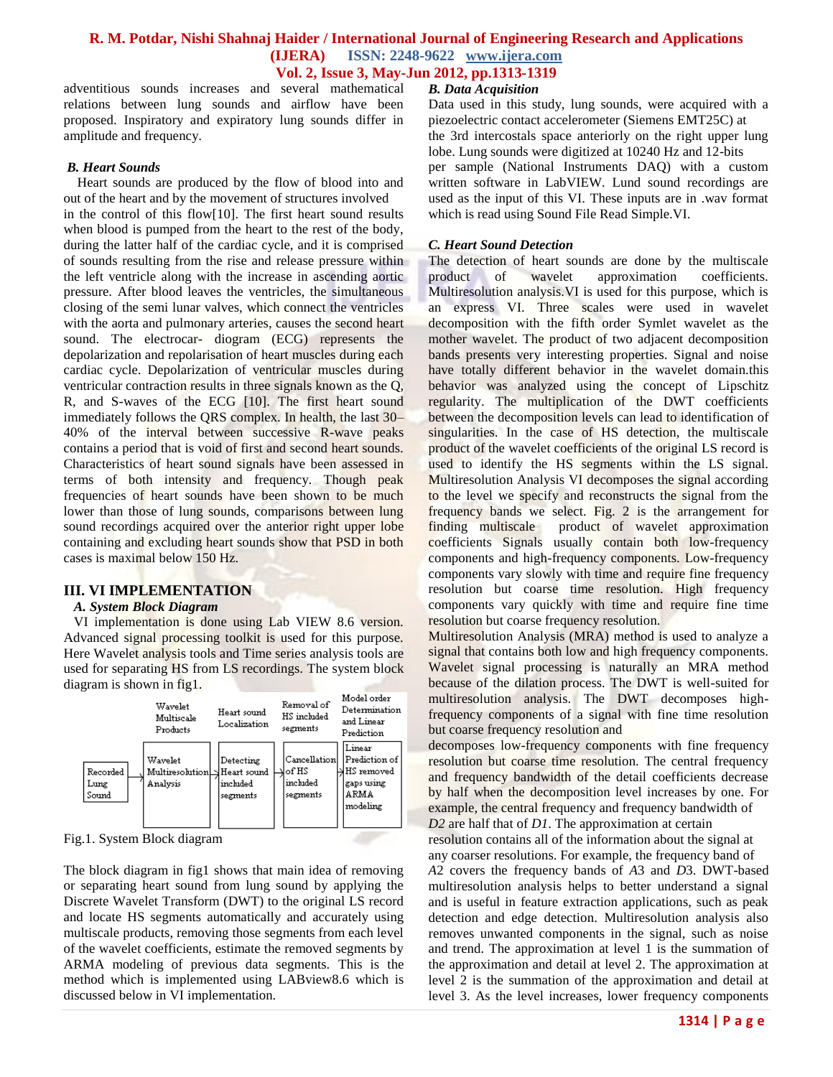adventitious sounds increases and several mathematical relations between lung sounds and airflow have been proposed. Inspiratory and expiratory lung sounds differ in amplitude and frequency.

#### *B. Heart Sounds*

 Heart sounds are produced by the flow of blood into and out of the heart and by the movement of structures involved in the control of this flow[10]. The first heart sound results when blood is pumped from the heart to the rest of the body, during the latter half of the cardiac cycle, and it is comprised of sounds resulting from the rise and release pressure within the left ventricle along with the increase in ascending aortic pressure. After blood leaves the ventricles, the simultaneous closing of the semi lunar valves, which connect the ventricles with the aorta and pulmonary arteries, causes the second heart sound. The electrocar- diogram (ECG) represents the depolarization and repolarisation of heart muscles during each cardiac cycle. Depolarization of ventricular muscles during ventricular contraction results in three signals known as the Q, R, and S-waves of the ECG [10]. The first heart sound immediately follows the QRS complex. In health, the last 30– 40% of the interval between successive R-wave peaks contains a period that is void of first and second heart sounds. Characteristics of heart sound signals have been assessed in terms of both intensity and frequency. Though peak frequencies of heart sounds have been shown to be much lower than those of lung sounds, comparisons between lung sound recordings acquired over the anterior right upper lobe containing and excluding heart sounds show that PSD in both cases is maximal below 150 Hz.

## **III. VI IMPLEMENTATION**

#### *A. System Block Diagram*

 VI implementation is done using Lab VIEW 8.6 version. Advanced signal processing toolkit is used for this purpose. Here Wavelet analysis tools and Time series analysis tools are used for separating HS from LS recordings. The system block diagram is shown in fig1.



Fig.1. System Block diagram

The block diagram in fig1 shows that main idea of removing or separating heart sound from lung sound by applying the Discrete Wavelet Transform (DWT) to the original LS record and locate HS segments automatically and accurately using multiscale products, removing those segments from each level of the wavelet coefficients, estimate the removed segments by ARMA modeling of previous data segments. This is the method which is implemented using LABview8.6 which is discussed below in VI implementation.

#### *B. Data Acquisition*

Data used in this study, lung sounds, were acquired with a piezoelectric contact accelerometer (Siemens EMT25C) at the 3rd intercostals space anteriorly on the right upper lung lobe. Lung sounds were digitized at 10240 Hz and 12-bits per sample (National Instruments DAQ) with a custom written software in LabVIEW. Lund sound recordings are used as the input of this VI. These inputs are in .wav format which is read using Sound File Read Simple.VI.

#### *C. Heart Sound Detection*

The detection of heart sounds are done by the multiscale product of wavelet approximation coefficients. Multiresolution analysis.VI is used for this purpose, which is an express VI. Three scales were used in wavelet decomposition with the fifth order Symlet wavelet as the mother wavelet. The product of two adjacent decomposition bands presents very interesting properties. Signal and noise have totally different behavior in the wavelet domain.this behavior was analyzed using the concept of Lipschitz regularity. The multiplication of the DWT coefficients between the decomposition levels can lead to identification of singularities. In the case of HS detection, the multiscale product of the wavelet coefficients of the original LS record is used to identify the HS segments within the LS signal. Multiresolution Analysis VI decomposes the signal according to the level we specify and reconstructs the signal from the frequency bands we select. Fig. 2 is the arrangement for finding multiscale product of wavelet approximation coefficients Signals usually contain both low-frequency components and high-frequency components. Low-frequency components vary slowly with time and require fine frequency resolution but coarse time resolution. High frequency components vary quickly with time and require fine time resolution but coarse frequency resolution.

Multiresolution Analysis (MRA) method is used to analyze a signal that contains both low and high frequency components. Wavelet signal processing is naturally an MRA method because of the dilation process. The DWT is well-suited for multiresolution analysis. The DWT decomposes highfrequency components of a signal with fine time resolution but coarse frequency resolution and

decomposes low-frequency components with fine frequency resolution but coarse time resolution. The central frequency and frequency bandwidth of the detail coefficients decrease by half when the decomposition level increases by one. For example, the central frequency and frequency bandwidth of *D2* are half that of *D1*. The approximation at certain

resolution contains all of the information about the signal at any coarser resolutions. For example, the frequency band of *A*2 covers the frequency bands of *A*3 and *D*3. DWT-based multiresolution analysis helps to better understand a signal and is useful in feature extraction applications, such as peak detection and edge detection. Multiresolution analysis also removes unwanted components in the signal, such as noise and trend. The approximation at level 1 is the summation of the approximation and detail at level 2. The approximation at level 2 is the summation of the approximation and detail at level 3. As the level increases, lower frequency components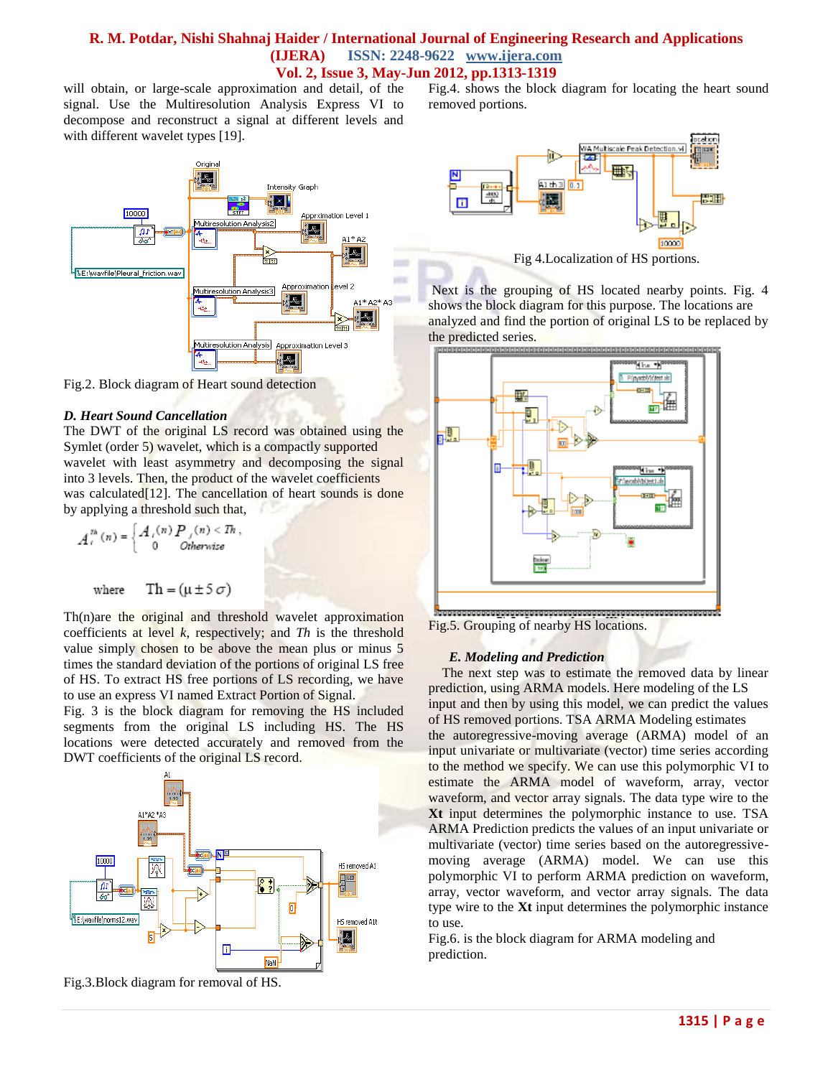will obtain, or large-scale approximation and detail, of the signal. Use the Multiresolution Analysis Express VI to decompose and reconstruct a signal at different levels and with different wavelet types [19].



Fig.2. Block diagram of Heart sound detection

#### *D. Heart Sound Cancellation*

The DWT of the original LS record was obtained using the Symlet (order 5) wavelet, which is a compactly supported wavelet with least asymmetry and decomposing the signal into 3 levels. Then, the product of the wavelet coefficients was calculated<sup>[12]</sup>. The cancellation of heart sounds is done by applying a threshold such that,

$$
A_t^{th}(n) = \begin{cases} A_t(n) P_t(n) < Th, \\ 0 & otherwise \end{cases}
$$
\nwhere

\n
$$
Th = (\mu \pm 5 \sigma)
$$

Th(n)are the original and threshold wavelet approximation coefficients at level *k*, respectively; and *Th* is the threshold value simply chosen to be above the mean plus or minus 5 times the standard deviation of the portions of original LS free of HS. To extract HS free portions of LS recording, we have to use an express VI named Extract Portion of Signal.

Fig. 3 is the block diagram for removing the HS included segments from the original LS including HS. The HS locations were detected accurately and removed from the DWT coefficients of the original LS record.



Fig.3.Block diagram for removal of HS.

Fig.4. shows the block diagram for locating the heart sound removed portions.



Fig 4.Localization of HS portions.

Next is the grouping of HS located nearby points. Fig. 4 shows the block diagram for this purpose. The locations are analyzed and find the portion of original LS to be replaced by the predicted series.



Fig.5. Grouping of nearby HS locations.

## *E. Modeling and Prediction*

The next step was to estimate the removed data by linear prediction, using ARMA models. Here modeling of the LS input and then by using this model, we can predict the values of HS removed portions. TSA ARMA Modeling estimates the autoregressive-moving average (ARMA) model of an input univariate or multivariate (vector) time series according to the method we specify. We can use this polymorphic VI to estimate the ARMA model of waveform, array, vector waveform, and vector array signals. The data type wire to the **Xt** input determines the polymorphic instance to use. TSA ARMA Prediction predicts the values of an input univariate or multivariate (vector) time series based on the autoregressivemoving average (ARMA) model. We can use this polymorphic VI to perform ARMA prediction on waveform, array, vector waveform, and vector array signals. The data type wire to the **Xt** input determines the polymorphic instance to use.

Fig.6. is the block diagram for ARMA modeling and prediction.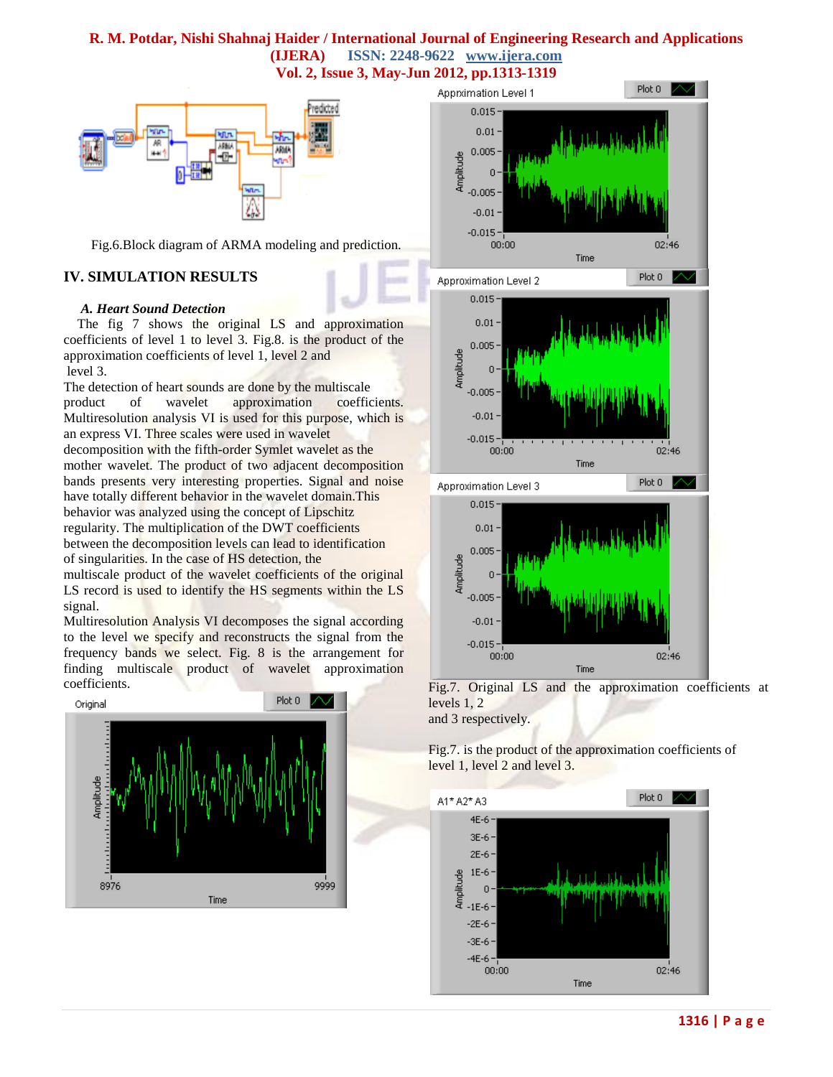# **R. M. Potdar, Nishi Shahnaj Haider / International Journal of Engineering Research and Applications (IJERA) ISSN: 2248-9622 www.ijera.com**

**Vol. 2, Issue 3, May-Jun 2012, pp.1313-1319**



Fig.6.Block diagram of ARMA modeling and prediction.

## **IV. SIMULATION RESULTS**

#### *A. Heart Sound Detection*

The fig 7 shows the original LS and approximation coefficients of level 1 to level 3. Fig.8. is the product of the approximation coefficients of level 1, level 2 and level 3.

The detection of heart sounds are done by the multiscale product of wavelet approximation coefficients. Multiresolution analysis VI is used for this purpose, which is an express VI. Three scales were used in wavelet decomposition with the fifth-order Symlet wavelet as the mother wavelet. The product of two adjacent decomposition bands presents very interesting properties. Signal and noise have totally different behavior in the wavelet domain.This behavior was analyzed using the concept of Lipschitz regularity. The multiplication of the DWT coefficients between the decomposition levels can lead to identification of singularities. In the case of HS detection, the

multiscale product of the wavelet coefficients of the original LS record is used to identify the HS segments within the LS signal.

Multiresolution Analysis VI decomposes the signal according to the level we specify and reconstructs the signal from the frequency bands we select. Fig. 8 is the arrangement for finding multiscale product of wavelet approximation





and 3 respectively.

Fig.7. is the product of the approximation coefficients of level 1, level 2 and level 3.

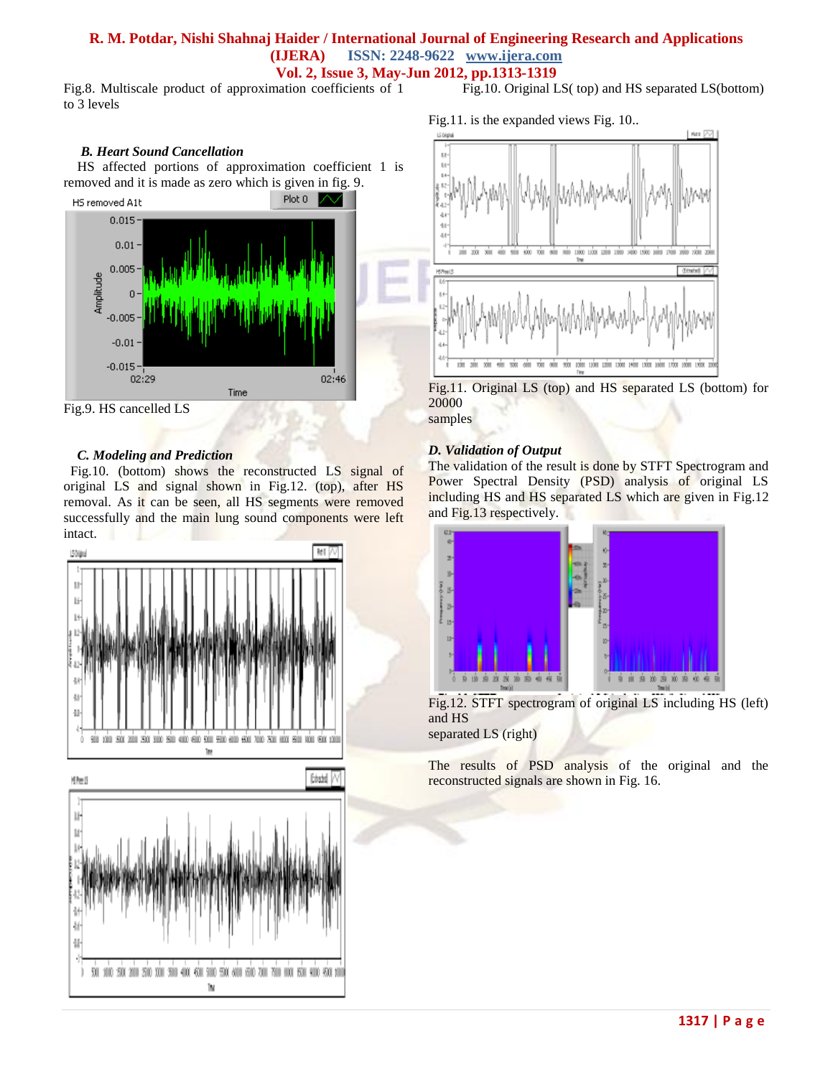Fig.8. Multiscale product of approximation coefficients of 1 to 3 levels

#### *B. Heart Sound Cancellation*

 HS affected portions of approximation coefficient 1 is removed and it is made as zero which is given in fig. 9.



Fig.9. HS cancelled LS

#### *C. Modeling and Prediction*

 Fig.10. (bottom) shows the reconstructed LS signal of original LS and signal shown in Fig.12. (top), after HS removal. As it can be seen, all HS segments were removed successfully and the main lung sound components were left intact.



Fig.10. Original LS( top) and HS separated LS(bottom)

Fig.11. is the expanded views Fig. 10..



Fig.11. Original LS (top) and HS separated LS (bottom) for 20000

samples

### *D. Validation of Output*

The validation of the result is done by STFT Spectrogram and Power Spectral Density (PSD) analysis of original LS including HS and HS separated LS which are given in Fig.12 and Fig.13 respectively.



Fig.12. STFT spectrogram of original LS including HS (left) and HS separated LS (right)

The results of PSD analysis of the original and the reconstructed signals are shown in Fig. 16.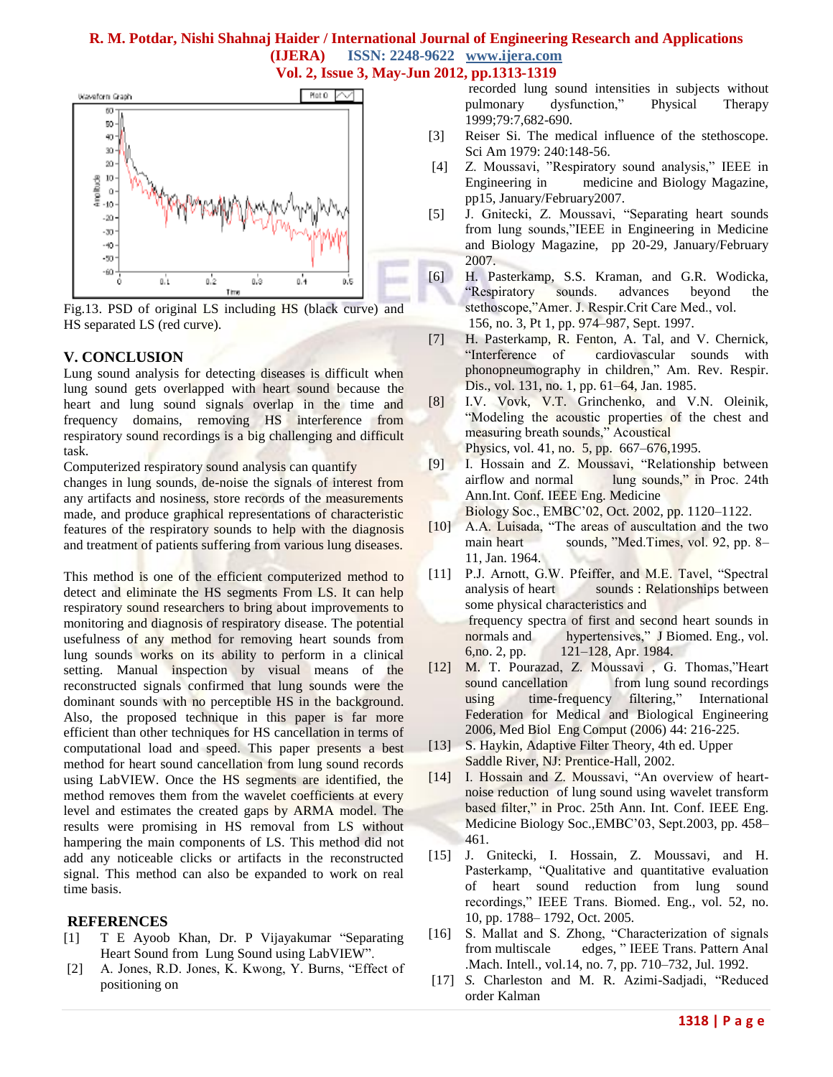

Fig.13. PSD of original LS including HS (black curve) and HS separated LS (red curve).

#### **V. CONCLUSION**

Lung sound analysis for detecting diseases is difficult when lung sound gets overlapped with heart sound because the heart and lung sound signals overlap in the time and frequency domains, removing HS interference from respiratory sound recordings is a big challenging and difficult task.

Computerized respiratory sound analysis can quantify

changes in lung sounds, de-noise the signals of interest from any artifacts and nosiness, store records of the measurements made, and produce graphical representations of characteristic features of the respiratory sounds to help with the diagnosis and treatment of patients suffering from various lung diseases.

This method is one of the efficient computerized method to detect and eliminate the HS segments From LS. It can help respiratory sound researchers to bring about improvements to monitoring and diagnosis of respiratory disease. The potential usefulness of any method for removing heart sounds from lung sounds works on its ability to perform in a clinical setting. Manual inspection by visual means of the reconstructed signals confirmed that lung sounds were the dominant sounds with no perceptible HS in the background. Also, the proposed technique in this paper is far more efficient than other techniques for HS cancellation in terms of computational load and speed. This paper presents a best method for heart sound cancellation from lung sound records using LabVIEW. Once the HS segments are identified, the method removes them from the wavelet coefficients at every level and estimates the created gaps by ARMA model. The results were promising in HS removal from LS without hampering the main components of LS. This method did not add any noticeable clicks or artifacts in the reconstructed signal. This method can also be expanded to work on real time basis.

#### **REFERENCES**

- [1] T E Ayoob Khan, Dr. P Vijayakumar "Separating Heart Sound from Lung Sound using LabVIEW".
- [2] A. Jones, R.D. Jones, K. Kwong, Y. Burns, "Effect of positioning on

 recorded lung sound intensities in subjects without pulmonary dysfunction," Physical Therapy 1999;79:7,682-690.

- [3] Reiser Si. The medical influence of the stethoscope. Sci Am 1979: 240:148-56.
- [4] Z. Moussavi, "Respiratory sound analysis," IEEE in Engineering in medicine and Biology Magazine, pp15, January/February2007.
- [5] J. Gnitecki, Z. Moussavi, "Separating heart sounds from lung sounds,"IEEE in Engineering in Medicine and Biology Magazine, pp 20-29, January/February 2007.
- [6] H. Pasterkamp, S.S. Kraman, and G.R. Wodicka, "Respiratory sounds. advances beyond the stethoscope,"Amer. J. Respir.Crit Care Med., vol. 156, no. 3, Pt 1, pp. 974–987, Sept. 1997.
- [7] H. Pasterkamp, R. Fenton, A. Tal, and V. Chernick, "Interference of cardiovascular sounds with phonopneumography in children," Am. Rev. Respir. Dis., vol. 131, no. 1, pp. 61–64, Jan. 1985.
- [8] I.V. Vovk, V.T. Grinchenko, and V.N. Oleinik, "Modeling the acoustic properties of the chest and measuring breath sounds," Acoustical Physics, vol. 41, no. 5, pp. 667–676,1995.
- [9] I. Hossain and Z. Moussavi, "Relationship between airflow and normal lung sounds," in Proc. 24th Ann.Int. Conf. IEEE Eng. Medicine Biology Soc., EMBC'02, Oct. 2002, pp. 1120–1122.
- [10] A.A. Luisada, "The areas of auscultation and the two main heart sounds, "Med.Times, vol. 92, pp. 8– 11, Jan. 1964.
- [11] P.J. Arnott, G.W. Pfeiffer, and M.E. Tavel, "Spectral analysis of heart sounds : Relationships between some physical characteristics and frequency spectra of first and second heart sounds in normals and hypertensives," J Biomed. Eng., vol. 6,no. 2, pp. 121–128, Apr. 1984.
- [12] M. T. Pourazad, Z. Moussavi , G. Thomas,"Heart sound cancellation from lung sound recordings using time-frequency filtering," International Federation for Medical and Biological Engineering 2006, Med Biol Eng Comput (2006) 44: 216-225.
- [13] S. Haykin, Adaptive Filter Theory, 4th ed. Upper Saddle River, NJ: Prentice-Hall, 2002.
- [14] I. Hossain and Z. Moussavi, "An overview of heartnoise reduction of lung sound using wavelet transform based filter," in Proc. 25th Ann. Int. Conf. IEEE Eng. Medicine Biology Soc.,EMBC'03, Sept.2003, pp. 458– 461.
- [15] J. Gnitecki, I. Hossain, Z. Moussavi, and H. Pasterkamp, "Qualitative and quantitative evaluation of heart sound reduction from lung sound recordings," IEEE Trans. Biomed. Eng., vol. 52, no. 10, pp. 1788– 1792, Oct. 2005.
- [16] S. Mallat and S. Zhong, "Characterization of signals from multiscale edges, " IEEE Trans. Pattern Anal .Mach. Intell., vol.14, no. 7, pp. 710–732, Jul. 1992.
- [17] *S.* Charleston and M. R. Azimi-Sadjadi, "Reduced order Kalman